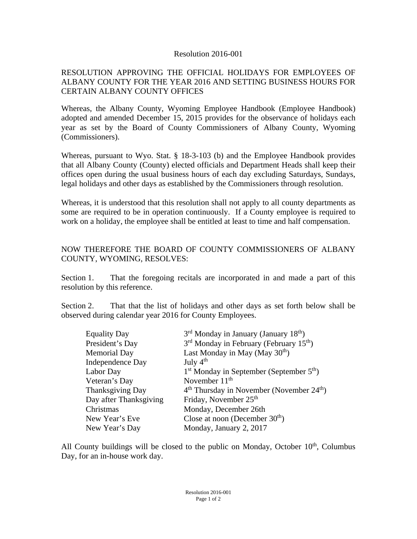## Resolution 2016-001

## RESOLUTION APPROVING THE OFFICIAL HOLIDAYS FOR EMPLOYEES OF ALBANY COUNTY FOR THE YEAR 2016 AND SETTING BUSINESS HOURS FOR CERTAIN ALBANY COUNTY OFFICES

Whereas, the Albany County, Wyoming Employee Handbook (Employee Handbook) adopted and amended December 15, 2015 provides for the observance of holidays each year as set by the Board of County Commissioners of Albany County, Wyoming (Commissioners).

Whereas, pursuant to Wyo. Stat. § 18-3-103 (b) and the Employee Handbook provides that all Albany County (County) elected officials and Department Heads shall keep their offices open during the usual business hours of each day excluding Saturdays, Sundays, legal holidays and other days as established by the Commissioners through resolution.

Whereas, it is understood that this resolution shall not apply to all county departments as some are required to be in operation continuously. If a County employee is required to work on a holiday, the employee shall be entitled at least to time and half compensation.

## NOW THEREFORE THE BOARD OF COUNTY COMMISSIONERS OF ALBANY COUNTY, WYOMING, RESOLVES:

Section 1. That the foregoing recitals are incorporated in and made a part of this resolution by this reference.

Section 2. That that the list of holidays and other days as set forth below shall be observed during calendar year 2016 for County Employees.

| <b>Equality Day</b>    | $3rd$ Monday in January (January 18 <sup>th</sup> )   |
|------------------------|-------------------------------------------------------|
| President's Day        | $3rd$ Monday in February (February 15 <sup>th</sup> ) |
| <b>Memorial Day</b>    | Last Monday in May (May $30th$ )                      |
| Independence Day       | July $4th$                                            |
| Labor Day              | $1st$ Monday in September (September $5th$ )          |
| Veteran's Day          | November $11th$                                       |
| Thanksgiving Day       | $4th$ Thursday in November (November $24th$ )         |
| Day after Thanksgiving | Friday, November 25 <sup>th</sup>                     |
| Christmas              | Monday, December 26th                                 |
| New Year's Eve         | Close at noon (December $30th$ )                      |
| New Year's Day         | Monday, January 2, 2017                               |

All County buildings will be closed to the public on Monday, October  $10<sup>th</sup>$ , Columbus Day, for an in-house work day.